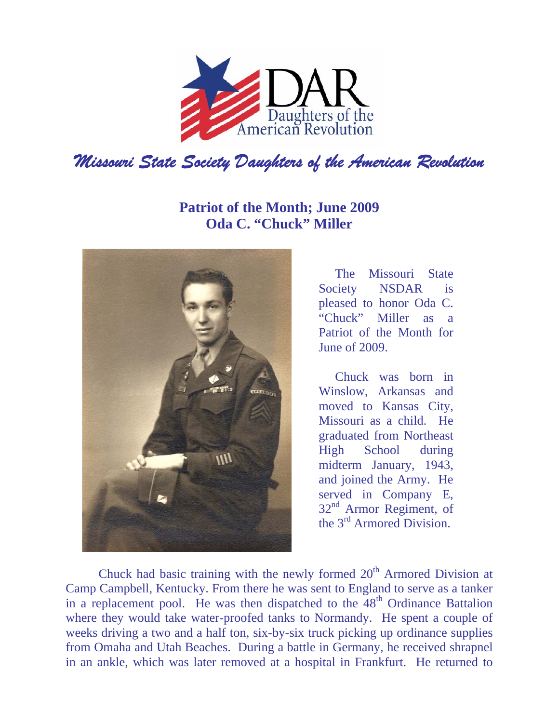

## **Patriot of the Month; June 2009 Oda C. "Chuck" Miller**



The Missouri State Society NSDAR is pleased to honor Oda C. "Chuck" Miller as a Patriot of the Month for June of 2009.

Chuck was born in Winslow, Arkansas and moved to Kansas City, Missouri as a child. He graduated from Northeast High School during midterm January, 1943, and joined the Army. He served in Company E, 32<sup>nd</sup> Armor Regiment, of the 3rd Armored Division.

Chuck had basic training with the newly formed  $20<sup>th</sup>$  Armored Division at Camp Campbell, Kentucky. From there he was sent to England to serve as a tanker in a replacement pool. He was then dispatched to the  $48<sup>th</sup>$  Ordinance Battalion where they would take water-proofed tanks to Normandy. He spent a couple of weeks driving a two and a half ton, six-by-six truck picking up ordinance supplies from Omaha and Utah Beaches. During a battle in Germany, he received shrapnel in an ankle, which was later removed at a hospital in Frankfurt. He returned to